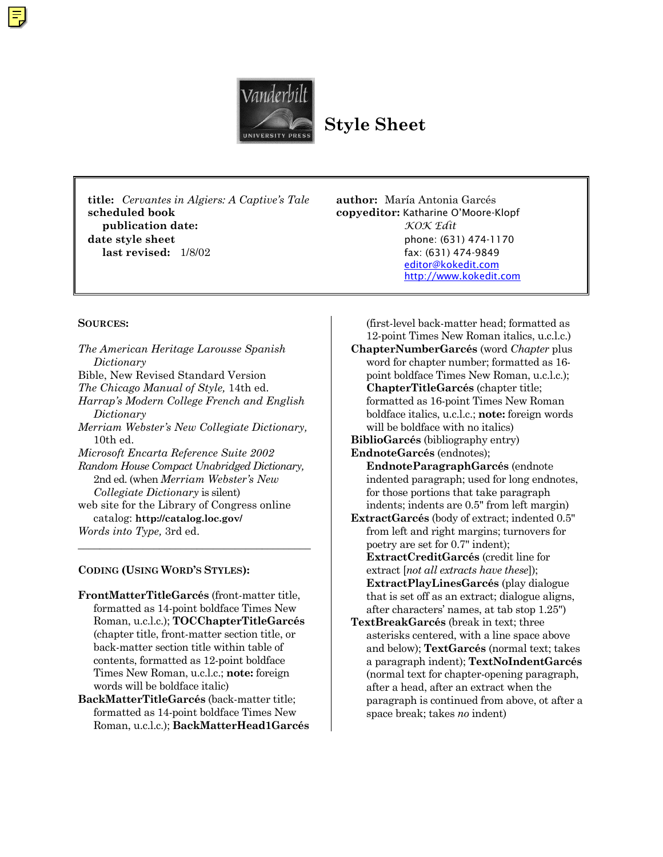

**Style Sheet**

**title:** *Cervantes in Algiers: A Captive's Tale* **author:** María Antonia Garcés **scheduled book copyeditor:** Katharine O'Moore-Klopf **publication date:** *KOK Edit* **date style sheet phone: (631) 474-1170 last revised:** 1/8/02 fax: (631) 474-9849

[editor@kokedit.com](mailto:editor@kokedit.com) <http://www.kokedit.com>

#### **SOURCES:**

*The American Heritage Larousse Spanish Dictionary* Bible, New Revised Standard Version *The Chicago Manual of Style,* 14th ed. *Harrap's Modern College French and English Dictionary Merriam Webster's New Collegiate Dictionary,* 10th ed. *Microsoft Encarta Reference Suite 2002 Random House Compact Unabridged Dictionary,* 2nd ed. (when *Merriam Webster's New Collegiate Dictionary* is silent) web site for the Library of Congress online catalog: **http://catalog.loc.gov/** *Words into Type,* 3rd ed.

#### **CODING (USING WORD'S STYLES):**

**FrontMatterTitleGarcés** (front-matter title, formatted as 14-point boldface Times New Roman, u.c.l.c.); **TOCChapterTitleGarcés** (chapter title, front-matter section title, or back-matter section title within table of contents, formatted as 12-point boldface Times New Roman, u.c.l.c.; **note:** foreign words will be boldface italic)

 $\frac{1}{2}$  , and the set of the set of the set of the set of the set of the set of the set of the set of the set of the set of the set of the set of the set of the set of the set of the set of the set of the set of the set

**BackMatterTitleGarcés** (back-matter title; formatted as 14-point boldface Times New Roman, u.c.l.c.); **BackMatterHead1Garcés**

**ChapterNumberGarcés** (word *Chapter* plus word for chapter number; formatted as 16 point boldface Times New Roman, u.c.l.c.); **ChapterTitleGarcés** (chapter title; formatted as 16-point Times New Roman boldface italics, u.c.l.c.; **note:** foreign words will be boldface with no italics) **BiblioGarcés** (bibliography entry) **EndnoteGarcés** (endnotes); **EndnoteParagraphGarcés** (endnote indented paragraph; used for long endnotes, for those portions that take paragraph indents; indents are 0.5" from left margin) **ExtractGarcés** (body of extract; indented 0.5" from left and right margins; turnovers for poetry are set for 0.7" indent); **ExtractCreditGarcés** (credit line for extract [*not all extracts have these*]);

(first-level back-matter head; formatted as 12-point Times New Roman italics, u.c.l.c.)

**ExtractPlayLinesGarcés** (play dialogue that is set off as an extract; dialogue aligns, after characters' names, at tab stop 1.25") **TextBreakGarcés** (break in text; three asterisks centered, with a line space above

and below); **TextGarcés** (normal text; takes a paragraph indent); **TextNoIndentGarcés** (normal text for chapter-opening paragraph, after a head, after an extract when the paragraph is continued from above, ot after a space break; takes *no* indent)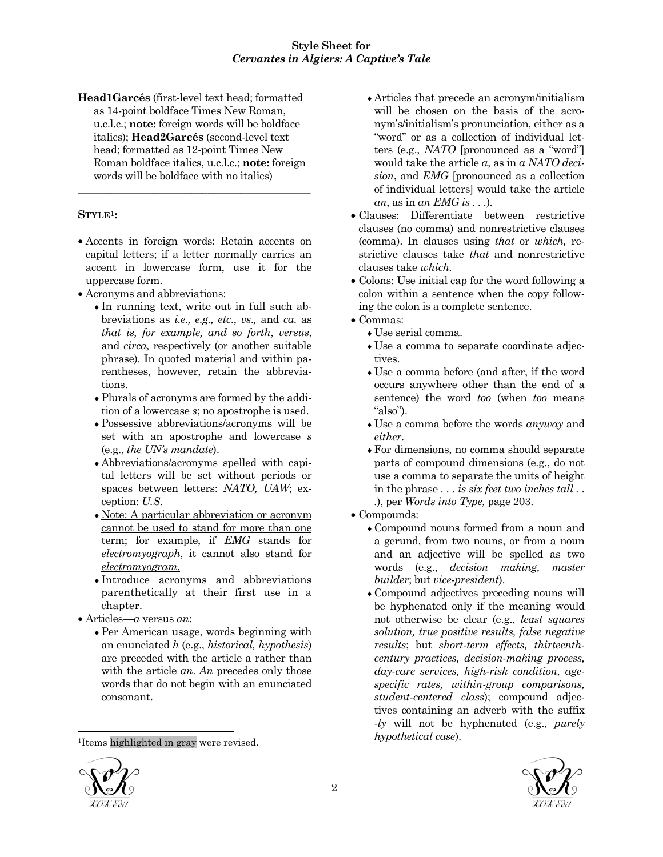**Head1Garcés** (first-level text head; formatted as 14-point boldface Times New Roman, u.c.l.c.; **note:** foreign words will be boldface italics); **Head2Garcés** (second-level text head; formatted as 12-point Times New Roman boldface italics, u.c.l.c.; **note:** foreign words will be boldface with no italics)

\_\_\_\_\_\_\_\_\_\_\_\_\_\_\_\_\_\_\_\_\_\_\_\_\_\_\_\_\_\_\_\_\_\_\_\_\_\_\_\_\_\_\_

## **STYLE1:**

- Accents in foreign words: Retain accents on capital letters; if a letter normally carries an accent in lowercase form, use it for the uppercase form.
- Acronyms and abbreviations:
	- ♦In running text, write out in full such abbreviations as *i.e., e.g., etc*., *vs*.*,* and *ca.* as *that is, for example, and so forth*, *versus*, and *circa,* respectively (or another suitable phrase). In quoted material and within parentheses, however, retain the abbreviations.
	- ♦Plurals of acronyms are formed by the addition of a lowercase *s*; no apostrophe is used.
	- ♦Possessive abbreviations/acronyms will be set with an apostrophe and lowercase *s* (e.g., *the UN's mandate*).
	- ♦Abbreviations/acronyms spelled with capital letters will be set without periods or spaces between letters: *NATO, UAW*; exception: *U.S*.
	- ♦Note: A particular abbreviation or acronym cannot be used to stand for more than one term; for example, if *EMG* stands for *electromyograph*, it cannot also stand for *electromyogram*.
	- ♦Introduce acronyms and abbreviations parenthetically at their first use in a chapter.
- Articles—*a* versus *an*:
	- ♦Per American usage, words beginning with an enunciated *h* (e.g., *historical, hypothesis*) are preceded with the article a rather than with the article *an*. *An* precedes only those words that do not begin with an enunciated consonant.
- ♦Articles that precede an acronym/initialism will be chosen on the basis of the acronym's/initialism's pronunciation, either as a "word" or as a collection of individual letters (e.g., *NATO* [pronounced as a "word"] would take the article *a*, as in *a NATO decision*, and *EMG* [pronounced as a collection of individual letters] would take the article *an*, as in *an EMG is . . .*)*.*
- Clauses: Differentiate between restrictive clauses (no comma) and nonrestrictive clauses (comma). In clauses using *that* or *which,* restrictive clauses take *that* and nonrestrictive clauses take *which.*
- Colons: Use initial cap for the word following a colon within a sentence when the copy following the colon is a complete sentence.
- Commas:
	- ♦Use serial comma.
	- ♦Use a comma to separate coordinate adjectives.
	- ♦Use a comma before (and after, if the word occurs anywhere other than the end of a sentence) the word *too* (when *too* means "also").
	- ♦Use a comma before the words *anyway* and *either*.
	- ♦For dimensions, no comma should separate parts of compound dimensions (e.g., do not use a comma to separate the units of height in the phrase *. . . is six feet two inches tall . . .*), per *Words into Type,* page 203.
- Compounds:
	- ♦Compound nouns formed from a noun and a gerund, from two nouns, or from a noun and an adjective will be spelled as two words (e.g., *decision making, master builder*; but *vice-president*).
	- ♦Compound adjectives preceding nouns will be hyphenated only if the meaning would not otherwise be clear (e.g., *least squares solution, true positive results, false negative results*; but *short-term effects, thirteenthcentury practices, decision-making process, day-care services, high-risk condition, agespecific rates, within-group comparisons, student-centered class*); compound adjectives containing an adverb with the suffix *-ly* will not be hyphenated (e.g., *purely hypothetical case*).



1

<sup>1</sup>Items highlighted in gray were revised.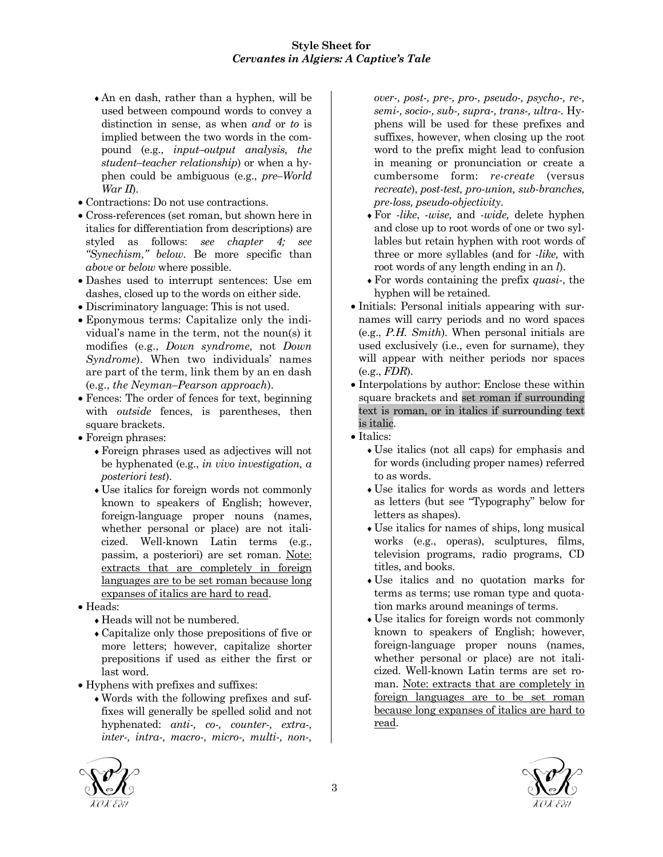- ♦An en dash, rather than a hyphen, will be used between compound words to convey a distinction in sense, as when *and* or *to* is implied between the two words in the compound (e.g., *input–output analysis, the student–teacher relationship*) or when a hyphen could be ambiguous (e.g., *pre–World War II*).
- Contractions: Do not use contractions.
- Cross-references (set roman, but shown here in italics for differentiation from descriptions) are styled as follows: *see chapter 4; see "Synechism," below*. Be more specific than *above* or *below* where possible.
- Dashes used to interrupt sentences: Use em dashes, closed up to the words on either side.
- Discriminatory language: This is not used.
- Eponymous terms: Capitalize only the individual's name in the term, not the noun(s) it modifies (e.g., *Down syndrome*, not *Down Syndrome*). When two individuals' names are part of the term, link them by an en dash (e.g., *the Neyman–Pearson approach*).
- Fences: The order of fences for text, beginning with *outside* fences, is parentheses, then square brackets.
- Foreign phrases:
	- ♦Foreign phrases used as adjectives will not be hyphenated (e.g., *in vivo investigation, a posteriori test*).
	- ♦Use italics for foreign words not commonly known to speakers of English; however, foreign-language proper nouns (names, whether personal or place) are not italicized. Well-known Latin terms (e.g., passim, a posteriori) are set roman. Note: extracts that are completely in foreign languages are to be set roman because long expanses of italics are hard to read.
- Heads:
	- ♦Heads will not be numbered.
	- ♦Capitalize only those prepositions of five or more letters; however, capitalize shorter prepositions if used as either the first or last word.
- Hyphens with prefixes and suffixes:
	- ♦Words with the following prefixes and suffixes will generally be spelled solid and not hyphenated: *anti-, co-, counter-, extra-, inter-, intra-, macro-, micro-, multi-, non-,*

*over-, post-, pre-, pro-, pseudo-, psycho-, re-, semi-, socio-, sub-, supra-, trans-, ultra-.* Hyphens will be used for these prefixes and suffixes, however, when closing up the root word to the prefix might lead to confusion in meaning or pronunciation or create a cumbersome form: *re-create* (versus *recreate*), *post-test, pro-union, sub-branches, pre-loss, pseudo-objectivity*.

- ♦For *-like*, *-wise,* and *-wide,* delete hyphen and close up to root words of one or two syllables but retain hyphen with root words of three or more syllables (and for *-like,* with root words of any length ending in an *l*).
- ♦For words containing the prefix *quasi-*, the hyphen will be retained.
- Initials: Personal initials appearing with surnames will carry periods and no word spaces (e.g., *P.H. Smith*). When personal initials are used exclusively (i.e., even for surname), they will appear with neither periods nor spaces (e.g., *FDR*).
- Interpolations by author: Enclose these within square brackets and set roman if surrounding text is roman, or in italics if surrounding text is italic.
- Italics:
	- ♦Use italics (not all caps) for emphasis and for words (including proper names) referred to as words.
	- ♦Use italics for words as words and letters as letters (but see "Typography" below for letters as shapes).
	- ♦Use italics for names of ships, long musical works (e.g., operas), sculptures, films, television programs, radio programs, CD titles, and books.
	- ♦Use italics and no quotation marks for terms as terms; use roman type and quotation marks around meanings of terms.
	- ♦Use italics for foreign words not commonly known to speakers of English; however, foreign-language proper nouns (names, whether personal or place) are not italicized. Well-known Latin terms are set roman. Note: extracts that are completely in foreign languages are to be set roman because long expanses of italics are hard to read.



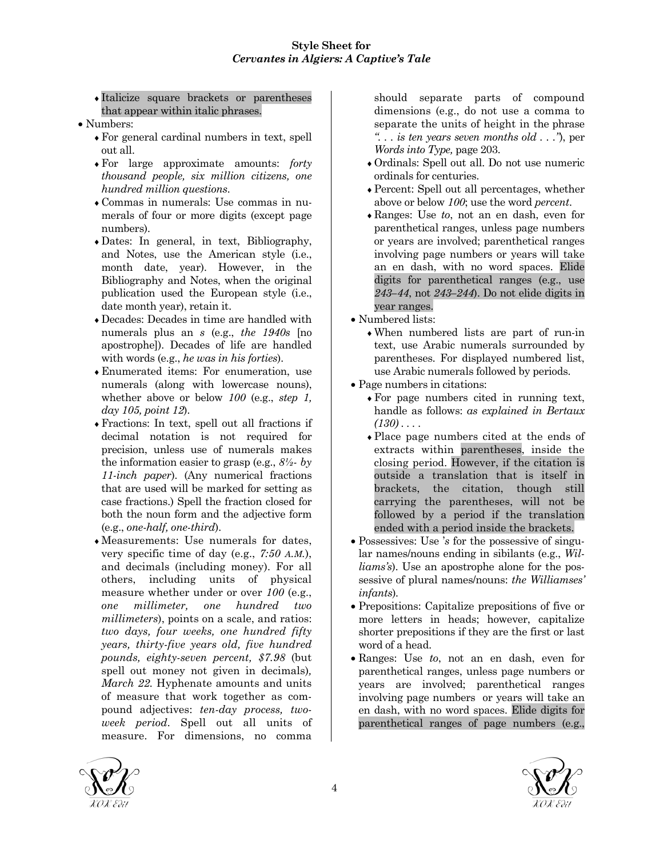♦Italicize square brackets or parentheses that appear within italic phrases.

- Numbers:
	- ♦For general cardinal numbers in text, spell out all.
	- ♦For large approximate amounts: *forty thousand people, six million citizens, one hundred million questions*.
	- ♦Commas in numerals: Use commas in numerals of four or more digits (except page numbers).
	- ♦Dates: In general, in text, Bibliography, and Notes, use the American style (i.e., month date, year). However, in the Bibliography and Notes, when the original publication used the European style (i.e., date month year), retain it.
	- ♦Decades: Decades in time are handled with numerals plus an *s* (e.g., *the 1940s* [no apostrophe]). Decades of life are handled with words (e.g., *he was in his forties*).
	- ♦Enumerated items: For enumeration, use numerals (along with lowercase nouns), whether above or below *100* (e.g., *step 1, day 105, point 12*).
	- ♦Fractions: In text, spell out all fractions if decimal notation is not required for precision, unless use of numerals makes the information easier to grasp (e.g., *8½- by 11-inch paper*). (Any numerical fractions that are used will be marked for setting as case fractions.) Spell the fraction closed for both the noun form and the adjective form (e.g., *one-half, one-third*).
	- ♦Measurements: Use numerals for dates, very specific time of day (e.g., *7:50 A.M.*), and decimals (including money). For all others, including units of physical measure whether under or over *100* (e.g., *one millimeter, one hundred two millimeters*), points on a scale, and ratios: *two days, four weeks, one hundred fifty years, thirty-five years old, five hundred pounds, eighty-seven percent, \$7.98* (but spell out money not given in decimals)*, March 22.* Hyphenate amounts and units of measure that work together as compound adjectives: *ten-day process, twoweek period*. Spell out all units of measure. For dimensions, no comma

should separate parts of compound dimensions (e.g., do not use a comma to separate the units of height in the phrase *". . . is ten years seven months old . . ."*), per *Words into Type,* page 203.

- ♦Ordinals: Spell out all. Do not use numeric ordinals for centuries.
- ♦Percent: Spell out all percentages, whether above or below *100*; use the word *percent*.
- ♦Ranges: Use *to*, not an en dash, even for parenthetical ranges, unless page numbers or years are involved; parenthetical ranges involving page numbers or years will take an en dash, with no word spaces. Elide digits for parenthetical ranges (e.g., use *243–44*, not *243–244*). Do not elide digits in year ranges.
- Numbered lists:
	- ♦When numbered lists are part of run-in text, use Arabic numerals surrounded by parentheses. For displayed numbered list, use Arabic numerals followed by periods.
- Page numbers in citations:
	- ♦For page numbers cited in running text, handle as follows: *as explained in Bertaux (130) . . .* .
	- ♦Place page numbers cited at the ends of extracts within parentheses, inside the closing period. However, if the citation is outside a translation that is itself in brackets, the citation, though still carrying the parentheses, will not be followed by a period if the translation ended with a period inside the brackets.
- Possessives: Use '*s* for the possessive of singular names/nouns ending in sibilants (e.g., *Williams's*). Use an apostrophe alone for the possessive of plural names/nouns: *the Williamses' infants*)*.*
- Prepositions: Capitalize prepositions of five or more letters in heads; however, capitalize shorter prepositions if they are the first or last word of a head.
- Ranges: Use *to*, not an en dash, even for parenthetical ranges, unless page numbers or years are involved; parenthetical ranges involving page numbers or years will take an en dash, with no word spaces. Elide digits for parenthetical ranges of page numbers (e.g.,



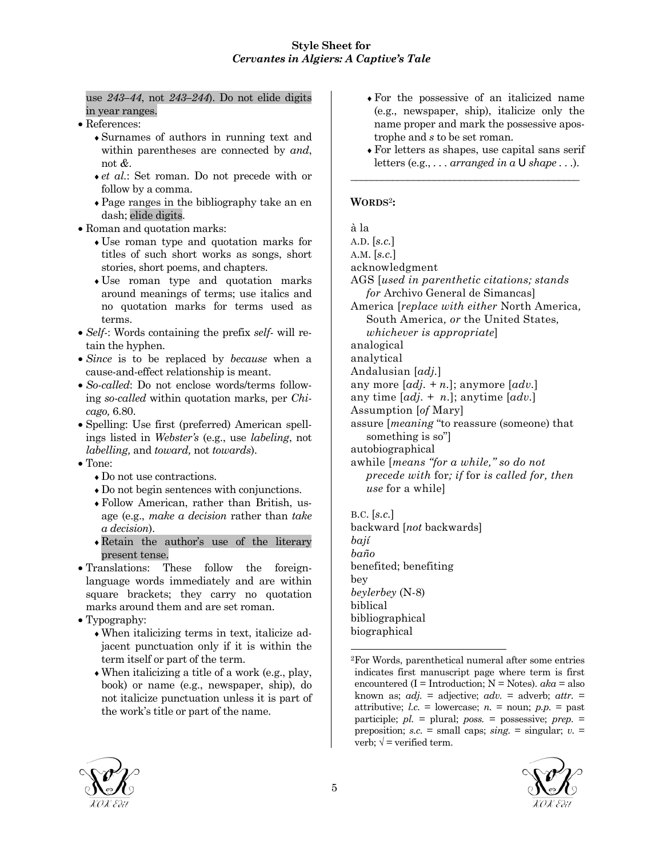#### use *243–44*, not *243–244*). Do not elide digits in year ranges.

- References:
	- ♦Surnames of authors in running text and within parentheses are connected by *and*, not *&*.
	- ♦*et al.*: Set roman. Do not precede with or follow by a comma.
	- ♦Page ranges in the bibliography take an en dash; elide digits.
- Roman and quotation marks:
	- ♦Use roman type and quotation marks for titles of such short works as songs, short stories, short poems, and chapters.
	- ♦Use roman type and quotation marks around meanings of terms; use italics and no quotation marks for terms used as terms.
- *Self-*: Words containing the prefix *self-* will retain the hyphen.
- *Since* is to be replaced by *because* when a cause-and-effect relationship is meant.
- *So-called*: Do not enclose words/terms following *so-called* within quotation marks, per *Chicago,* 6.80.
- Spelling: Use first (preferred) American spellings listed in *Webster's* (e.g., use *labeling*, not *labelling,* and *toward,* not *towards*).
- Tone:
	- ♦Do not use contractions.
	- ♦Do not begin sentences with conjunctions.
	- ♦Follow American, rather than British, usage (e.g., *make a decision* rather than *take a decision*).
	- ♦Retain the author's use of the literary present tense.
- Translations: These follow the foreignlanguage words immediately and are within square brackets; they carry no quotation marks around them and are set roman.
- Typography:
	- ♦When italicizing terms in text, italicize adjacent punctuation only if it is within the term itself or part of the term.
	- $\bullet$  When italicizing a title of a work (e.g., play, book) or name (e.g., newspaper, ship), do not italicize punctuation unless it is part of the work's title or part of the name.
- ♦For the possessive of an italicized name (e.g., newspaper, ship), italicize only the name proper and mark the possessive apostrophe and *s* to be set roman.
- ♦For letters as shapes, use capital sans serif letters (e.g., *. . . arranged in a* U *shape . . .*).

\_\_\_\_\_\_\_\_\_\_\_\_\_\_\_\_\_\_\_\_\_\_\_\_\_\_\_\_\_\_\_\_\_\_\_\_\_\_\_\_\_\_\_\_

# **WORDS**2**:**

à la

A.D. [*s.c.*]

A.M. [*s.c.*]

acknowledgment

AGS [*used in parenthetic citations; stands for* Archivo General de Simancas]

America [*replace with either* North America*,* South America*, or* the United States*, whichever is appropriate*]

analogical

analytical

Andalusian [*adj.*]

any more [*adj. + n.*]; anymore [*adv.*]

any time [*adj. + n.*]; anytime [*adv.*]

Assumption [*of* Mary]

assure [*meaning* "to reassure (someone) that something is so"]

autobiographical

awhile [*means "for a while," so do not precede with* for*; if* for *is called for, then use* for a while]

B.C. [*s.c.*] backward [*not* backwards] *bají baño* benefited; benefiting bey *beylerbey* (N-8) biblical bibliographical biographical

<sup>2</sup>For Words, parenthetical numeral after some entries indicates first manuscript page where term is first encountered (I = Introduction; N = Notes). *aka* = also known as; *adj.* = adjective; *adv.* = adverb; *attr.* = attributive;  $l.c. =$  lowercase;  $n =$  noun;  $p.p. =$  past participle; *pl.* = plural; *poss.* = possessive; *prep.* = preposition; *s.c.* = small caps; *sing.* = singular; *v.* = verb;  $\sqrt{ }$  = verified term.





-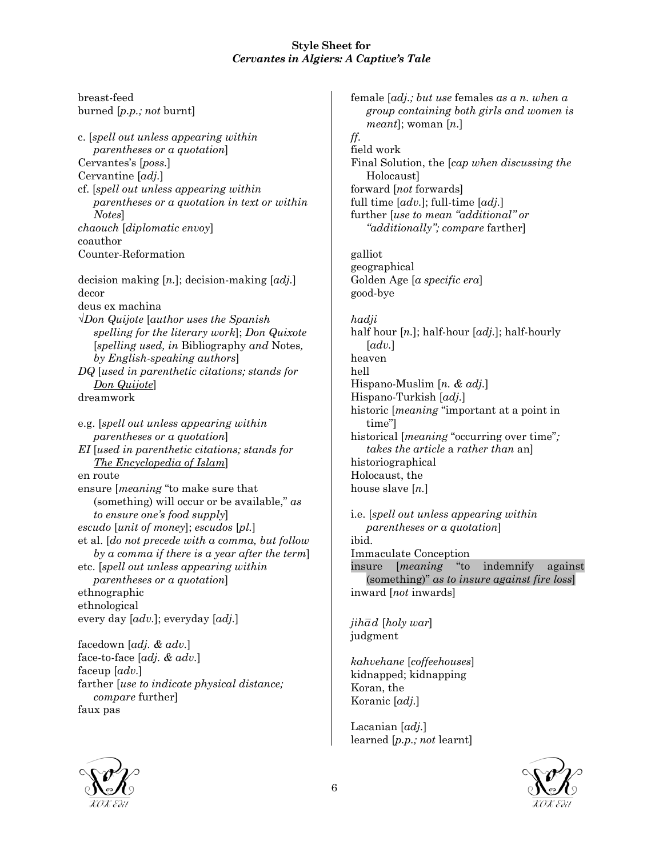breast-feed burned [*p.p.; not* burnt] c. [*spell out unless appearing within parentheses or a quotation*] Cervantes's [*poss.*] Cervantine [*adj.*] cf. [*spell out unless appearing within parentheses or a quotation in text or within Notes*] *chaouch* [*diplomatic envoy*] coauthor Counter-Reformation decision making [*n.*]; decision-making [*adj.*] decor deus ex machina √*Don Quijote* [*author uses the Spanish spelling for the literary work*]; *Don Quixote* [*spelling used, in* Bibliography *and* Notes*, by English-speaking authors*] *DQ* [*used in parenthetic citations; stands for Don Quijote*] dreamwork e.g. [*spell out unless appearing within parentheses or a quotation*] *EI* [*used in parenthetic citations; stands for The Encyclopedia of Islam*] en route ensure [*meaning* "to make sure that (something) will occur or be available," *as to ensure one's food supply*] *escudo* [*unit of money*]; *escudos* [*pl.*] et al. [*do not precede with a comma, but follow by a comma if there is a year after the term*] etc. [*spell out unless appearing within parentheses or a quotation*] ethnographic ethnological every day [*adv.*]; everyday [*adj.*] facedown [*adj. & adv.*] face-to-face [*adj. & adv.*] faceup [*adv.*] farther [*use to indicate physical distance; compare* further] female [*adj.; but use* females *as a n. when a ff.* field work Holocaust] galliot geographical good-bye *hadji* [*adv.*] heaven hell time"] Holocaust, the ibid. judgment Koran, the

*group containing both girls and women is meant*]; woman [*n.*] Final Solution, the [*cap when discussing the* forward [*not* forwards] full time [*adv.*]; full-time [*adj.*] further [*use to mean "additional" or "additionally"; compare* farther] Golden Age [*a specific era*]

half hour [*n.*]; half-hour [*adj.*]; half-hourly Hispano-Muslim [*n. & adj.*] Hispano-Turkish [*adj.*] historic [*meaning* "important at a point in historical [*meaning* "occurring over time"*; takes the article* a *rather than* an] historiographical house slave [*n.*]

i.e. [*spell out unless appearing within parentheses or a quotation*] Immaculate Conception insure [*meaning* "to indemnify against (something)" *as to insure against fire loss*] inward [*not* inwards]

 $jih\bar{a}d$  [*holy war*]

*kahvehane* [*coffeehouses*] kidnapped; kidnapping Koranic [*adj.*]

Lacanian [*adj.*] learned [*p.p.; not* learnt]





faux pas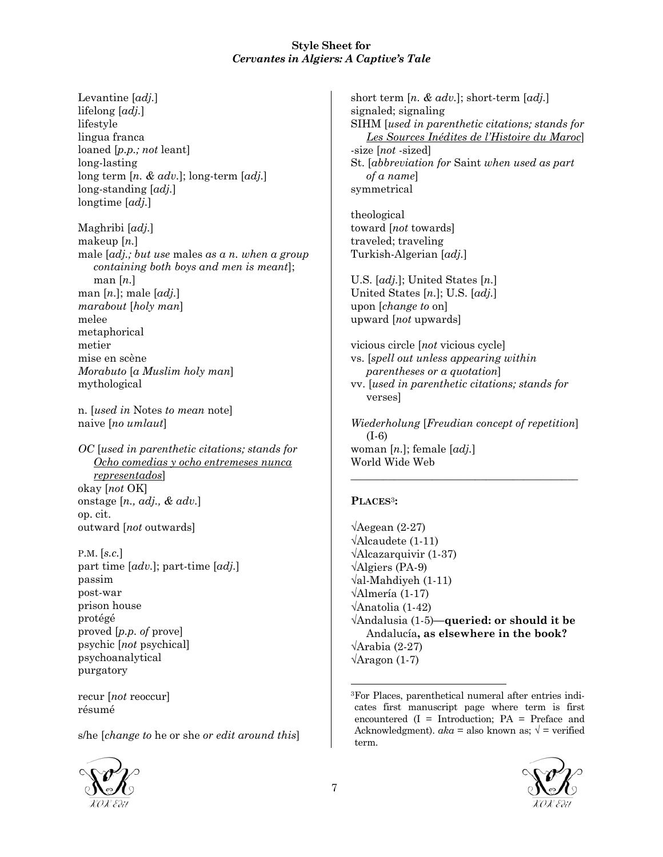Levantine [*adj.*] lifelong [*adj.*] lifestyle lingua franca loaned [*p.p.; not* leant] long-lasting long term [*n. & adv.*]; long-term [*adj.*] long-standing [*adj.*] longtime [*adj.*]

Maghribi [*adj.*] makeup [*n.*] male [*adj.; but use* males *as a n. when a group containing both boys and men is meant*]; man [*n.*] man [*n.*]; male [*adj.*] *marabout* [*holy man*] melee metaphorical metier mise en scène *Morabuto* [*a Muslim holy man*] mythological

n. [*used in* Notes *to mean* note] naive [*no umlaut*]

*OC* [*used in parenthetic citations; stands for Ocho comedias y ocho entremeses nunca representados*] okay [*not* OK] onstage [*n., adj., & adv.*] op. cit. outward [*not* outwards]

P.M. [*s.c.*] part time [*adv.*]; part-time [*adj.*] passim post-war prison house protégé proved [*p.p. of* prove] psychic [*not* psychical] psychoanalytical purgatory

recur [*not* reoccur] résumé

s/he [*change to* he or she *or edit around this*]



short term [*n. & adv.*]; short-term [*adj.*] signaled; signaling SIHM [*used in parenthetic citations; stands for Les Sources Inédites de l'Histoire du Maroc*] -size [*not* -sized] St. [*abbreviation for* Saint *when used as part of a name*] symmetrical

theological toward [*not* towards] traveled; traveling Turkish-Algerian [*adj.*]

U.S. [*adj.*]; United States [*n.*] United States [*n.*]; U.S. [*adj.*] upon [*change to* on] upward [*not* upwards]

vicious circle [*not* vicious cycle] vs. [*spell out unless appearing within parentheses or a quotation*] vv. [*used in parenthetic citations; stands for* verses]

*Wiederholung* [*Freudian concept of repetition*] (I-6) woman [*n.*]; female [*adj.*] World Wide Web

\_\_\_\_\_\_\_\_\_\_\_\_\_\_\_\_\_\_\_\_\_\_\_\_\_\_\_\_\_\_\_\_\_\_\_\_\_\_\_\_\_\_

# **PLACES**3**:**

√Aegean (2-27) √Alcaudete (1-11) √Alcazarquivir (1-37) √Algiers (PA-9) √al-Mahdiyeh (1-11) √Almería (1-17) √Anatolia (1-42) √Andalusia (1-5)**—queried: or should it be** Andalucía**, as elsewhere in the book?** √Arabia (2-27)  $\sqrt{\text{Argon}(1-7)}$ 

<sup>3</sup>For Places, parenthetical numeral after entries indicates first manuscript page where term is first encountered  $(I = Introduction; PA = Preface and$ Acknowledgment).  $aka =$  also known as;  $\sqrt{ } =$  verified term.



1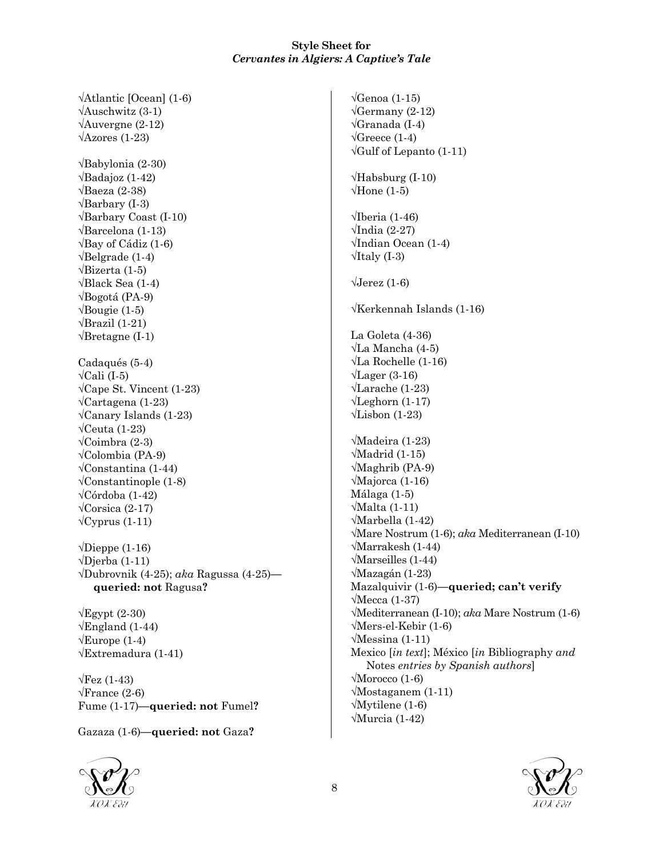√Atlantic [Ocean] (1-6)  $\sqrt{\text{Answer}}$  (3-1) √Auvergne (2-12)  $\sqrt{\text{Azores}}$  (1-23) √Babylonia (2-30)  $\sqrt{\text{Badajoz}}$  (1-42)  $\sqrt{\text{Baeza}}$  (2-38)  $\sqrt{\text{Barbary}}$  (I-3) √Barbary Coast (I-10) √Barcelona (1-13) √Bay of Cádiz (1-6)  $\sqrt{\text{Belgrade}(1-4)}$ √Bizerta (1-5) √Black Sea (1-4) √Bogotá (PA-9)  $\sqrt{\text{Bougie}}$  (1-5)  $\sqrt{Brazil}$  (1-21)  $\sqrt{\text{Bretagne}} (I-1)$ Cadaqués (5-4)  $\sqrt{\text{Cali}(\text{I-5})}$  $\sqrt{\text{Cape St. Vincent (1-23)}}$ √Cartagena (1-23) √Canary Islands (1-23)  $\sqrt{\text{C}$ euta (1-23) √Coimbra (2-3) √Colombia (PA-9) √Constantina (1-44)  $\sqrt{\text{Constantinople}}$  (1-8) √Córdoba (1-42)  $\sqrt{\text{Corsica}} (2-17)$  $\sqrt{\text{Cyprus}} (1-11)$  $\sqrt{\text{Dieppe}}$  (1-16)  $\sqrt{\text{Djerba}}$  (1-11) √Dubrovnik (4-25); *aka* Ragussa (4-25) **queried: not** Ragusa**?**  $\sqrt{Egypt}$  (2-30)  $\sqrt{\text{English}}$  (1-44)  $\sqrt{\text{Europe}}$  (1-4) √Extremadura (1-41)  $\sqrt{\text{Fez}}$  (1-43)

 $\sqrt{\text{France}}$  (2-6) Fume (1-17)**—queried: not** Fumel**?**

Gazaza (1-6)**—queried: not** Gaza**?**



√Genoa (1-15)  $\sqrt{\text{Germany}}(2-12)$ √Granada (I-4)  $\sqrt{\text{Greeze}}$  (1-4)  $\sqrt{\text{Gulf}}$  of Lepanto (1-11)  $\sqrt{\text{Habsburg}}$  (I-10)  $\sqrt{\text{Hone}(1-5)}$  $\sqrt{\text{Iberia}}$  (1-46) √India (2-27) √Indian Ocean (1-4)  $\sqrt{1}$ taly (I-3)  $\sqrt{\text{Jerez}}$  (1-6) √Kerkennah Islands (1-16) La Goleta (4-36) √La Mancha (4-5) √La Rochelle (1-16)  $\sqrt{\text{Lager}(3-16)}$ √Larache (1-23) √Leghorn (1-17) √Lisbon (1-23) √Madeira (1-23) √Madrid (1-15) √Maghrib (PA-9) √Majorca (1-16) Málaga (1-5) √Malta (1-11) √Marbella (1-42) √Mare Nostrum (1-6); *aka* Mediterranean (I-10) √Marrakesh (1-44) √Marseilles (1-44) √Mazagán (1-23) Mazalquivir (1-6)**—queried; can't verify** √Mecca (1-37) √Mediterranean (I-10); *aka* Mare Nostrum (1-6) √Mers-el-Kebir (1-6) √Messina (1-11) Mexico [*in text*]; México [*in* Bibliography *and* Notes *entries by Spanish authors*] √Morocco (1-6) √Mostaganem (1-11) √Mytilene (1-6) √Murcia (1-42)

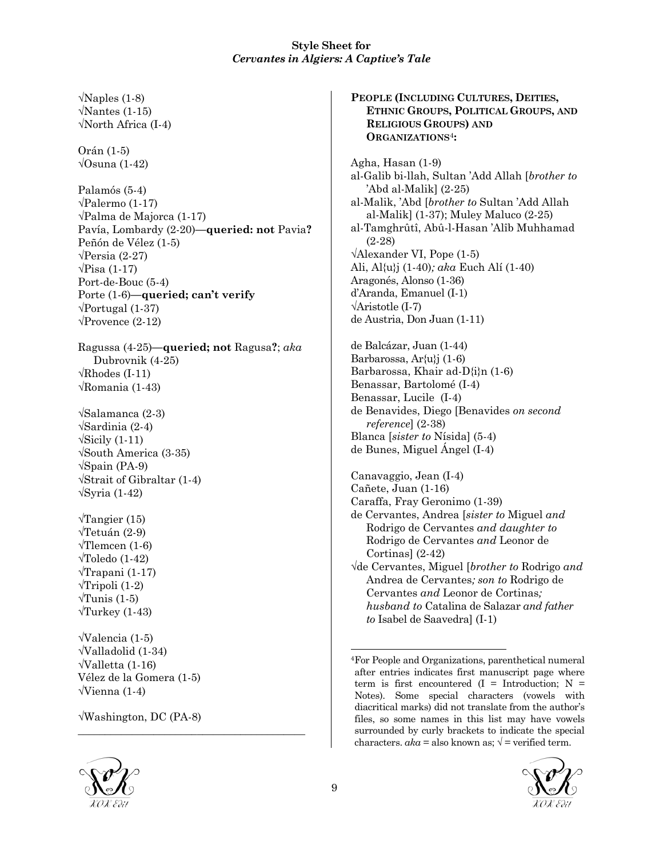$\sqrt{\text{Naples}}(1-8)$  $\sqrt{\text{Nantes}}$  (1-15) √North Africa (I-4) Orán (1-5) √Osuna (1-42) Palamós (5-4) √Palermo (1-17) √Palma de Majorca (1-17) Pavía, Lombardy (2-20)**—queried: not** Pavia**?** Peñón de Vélez (1-5)  $\sqrt{\text{Persia}(2-27)}$  $\sqrt{\text{Pisa}(1-17)}$ Port-de-Bouc (5-4) Porte (1-6)**—queried; can't verify**  $\sqrt{\text{Portugal}}$  (1-37)  $\sqrt{\text{Provence} (2-12)}$ Ragussa (4-25)**—queried; not** Ragusa**?**; *aka* Dubrovnik (4-25)  $\sqrt{\text{Rhodes (I-11)}}$ √Romania (1-43) √Salamanca (2-3) √Sardinia (2-4)  $\sqrt{\text{Sicily}} (1-11)$ √South America (3-35) √Spain (PA-9) √Strait of Gibraltar (1-4) √Syria (1-42)  $\sqrt{T}$ angier (15) √Tetuán (2-9)  $\sqrt{\text{Tlemeen}(1-6)}$  $\sqrt{\text{Toledo}}$  (1-42) √Trapani (1-17)  $\sqrt{\text{Tripoli}}$  (1-2)  $\sqrt{\text{Tunis}} (1-5)$  $\sqrt{T}$ urkey (1-43) √Valencia (1-5) √Valladolid (1-34) √Valletta (1-16) Vélez de la Gomera (1-5) √Vienna (1-4) √Washington, DC (PA-8)

\_\_\_\_\_\_\_\_\_\_\_\_\_\_\_\_\_\_\_\_\_\_\_\_\_\_\_\_\_\_\_\_\_\_\_\_\_\_\_\_\_\_

**PEOPLE (INCLUDING CULTURES, DEITIES, ETHNIC GROUPS, POLITICAL GROUPS, AND RELIGIOUS GROUPS) AND ORGANIZATIONS**4**:** Agha, Hasan (1-9) al-Galib bi-llah, Sultan 'Add Allah [*brother to* 'Abd al-Malik] (2-25) al-Malik, 'Abd [*brother to* Sultan 'Add Allah al-Malik] (1-37); Muley Maluco (2-25) al-Tamghrûtî, Abû-l-Hasan 'Alîb Muhhamad (2-28) √Alexander VI, Pope (1-5) Ali, Al{u}j (1-40)*; aka* Euch Alí (1-40) Aragonés, Alonso (1-36) d'Aranda, Emanuel (I-1) √Aristotle (I-7) de Austria, Don Juan (1-11) de Balcázar, Juan (1-44) Barbarossa, Ar{u}j (1-6) Barbarossa, Khair ad-D{i}n (1-6) Benassar, Bartolomé (I-4) Benassar, Lucile (I-4) de Benavides, Diego [Benavides *on second reference*] (2-38) Blanca [*sister to* Nísida] (5-4) de Bunes, Miguel Ángel (I-4) Canavaggio, Jean (I-4) Cañete, Juan (1-16) Caraffa, Fray Geronimo (1-39) de Cervantes, Andrea [*sister to* Miguel *and* Rodrigo de Cervantes *and daughter to* Rodrigo de Cervantes *and* Leonor de Cortinas] (2-42) √de Cervantes, Miguel [*brother to* Rodrigo *and* Andrea de Cervantes*; son to* Rodrigo de Cervantes *and* Leonor de Cortinas*; husband to* Catalina de Salazar *and father*

*to* Isabel de Saavedra] (I-1)



<sup>-</sup>4For People and Organizations, parenthetical numeral after entries indicates first manuscript page where term is first encountered  $(I = Introduction; N =$ Notes). Some special characters (vowels with diacritical marks) did not translate from the author's files, so some names in this list may have vowels surrounded by curly brackets to indicate the special characters.  $aka = also$  known as;  $\sqrt{ } =$  verified term.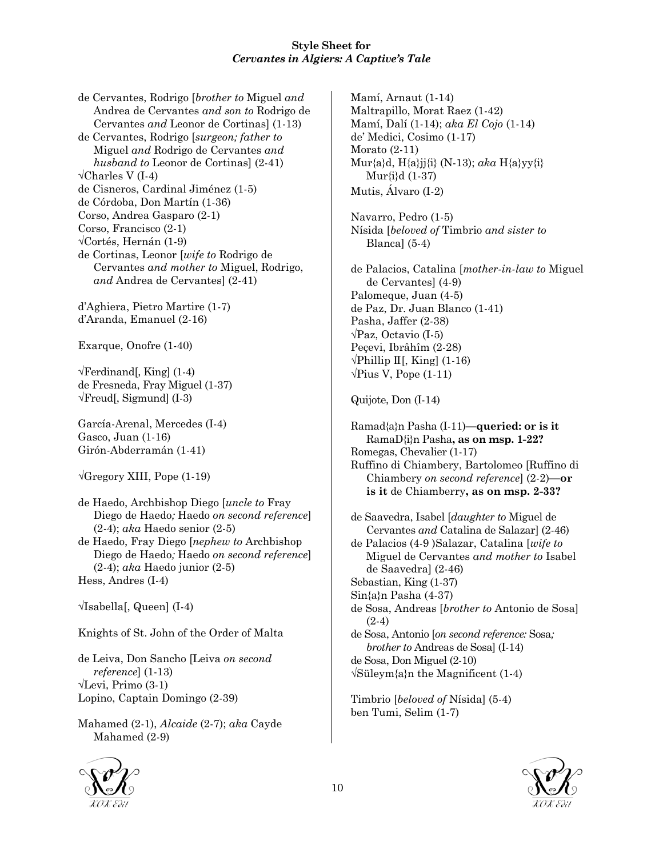de Cervantes, Rodrigo [*brother to* Miguel *and* Andrea de Cervantes *and son to* Rodrigo de Cervantes *and* Leonor de Cortinas] (1-13) de Cervantes, Rodrigo [*surgeon; father to* Miguel *and* Rodrigo de Cervantes *and husband to* Leonor de Cortinas] (2-41)  $\sqrt{\text{Charles V (I-4)}}$ de Cisneros, Cardinal Jiménez (1-5) de Córdoba, Don Martín (1-36) Corso, Andrea Gasparo (2-1) Corso, Francisco (2-1) √Cortés, Hernán (1-9) de Cortinas, Leonor [*wife to* Rodrigo de Cervantes *and mother to* Miguel, Rodrigo, *and* Andrea de Cervantes] (2-41) d'Aghiera, Pietro Martire (1-7) d'Aranda, Emanuel (2-16) Exarque, Onofre (1-40)

 $\sqrt{\text{Ferdinand}}$ , King] (1-4) de Fresneda, Fray Miguel (1-37)  $\sqrt{$ Freud[, Sigmund] (I-3)

García-Arenal, Mercedes (I-4) Gasco, Juan (1-16) Girón-Abderramán (1-41)

√Gregory XIII, Pope (1-19)

de Haedo, Archbishop Diego [*uncle to* Fray Diego de Haedo*;* Haedo *on second reference*] (2-4); *aka* Haedo senior (2-5)

de Haedo, Fray Diego [*nephew to* Archbishop Diego de Haedo*;* Haedo *on second reference*] (2-4); *aka* Haedo junior (2-5) Hess, Andres (I-4)

√Isabella[, Queen] (I-4)

Knights of St. John of the Order of Malta

de Leiva, Don Sancho [Leiva *on second reference*] (1-13) √Levi, Primo (3-1) Lopino, Captain Domingo (2-39)

Mahamed (2-1), *Alcaide* (2-7); *aka* Cayde Mahamed (2-9)



Mamí, Arnaut (1-14) Maltrapillo, Morat Raez (1-42) Mamí, Dalí (1-14); *aka El Cojo* (1-14) de' Medici, Cosimo (1-17) Morato (2-11) Mur{a}d, H{a}jj{i} (N-13); *aka* H{a}yy{i} Mur{i}d (1-37) Mutis, Álvaro (I-2)

Navarro, Pedro (1-5) Nísida [*beloved of* Timbrio *and sister to* Blanca] (5-4)

de Palacios, Catalina [*mother-in-law to* Miguel de Cervantes] (4-9) Palomeque, Juan (4-5) de Paz, Dr. Juan Blanco (1-41) Pasha, Jaffer (2-38) √Paz, Octavio (I-5) Peçevi, Ibrâhîm (2-28)  $\forall$ Phillip II[, King] (1-16)  $\sqrt{\text{Pius V}}$ , Pope (1-11)

Quijote, Don (I-14)

Ramad{a}n Pasha (I-11)**—queried: or is it** RamaD{i}n Pasha**, as on msp. 1-22?** Romegas, Chevalier (1-17) Ruffino di Chiambery, Bartolomeo [Ruffino di Chiambery *on second reference*] (2-2)**—or is it** de Chiamberry**, as on msp. 2-33?** de Saavedra, Isabel [*daughter to* Miguel de

Cervantes *and* Catalina de Salazar] (2-46) de Palacios (4-9 )Salazar, Catalina [*wife to* Miguel de Cervantes *and mother to* Isabel de Saavedra] (2-46) Sebastian, King (1-37) Sin{a}n Pasha (4-37) de Sosa, Andreas [*brother to* Antonio de Sosa] (2-4) de Sosa, Antonio [*on second reference:* Sosa*;*

*brother to* Andreas de Sosa] (I-14) de Sosa, Don Miguel (2-10) √Süleym{a}n the Magnificent (1-4)

Timbrio [*beloved of* Nísida] (5-4) ben Tumi, Selim (1-7)